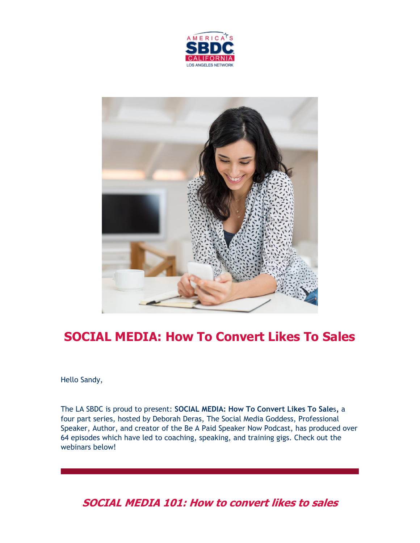



# **SOCIAL MEDIA: How To Convert Likes To Sales**

Hello Sandy,

The LA SBDC is proud to present: **SOCIAL MEDIA: How To Convert Likes To Sale**s*,* a four part series, hosted by Deborah Deras, The Social Media Goddess, Professional Speaker, Author, and creator of the Be A Paid Speaker Now Podcast, has produced over 64 episodes which have led to coaching, speaking, and training gigs. Check out the webinars below!

**SOCIAL MEDIA 101: How to convert likes to sales**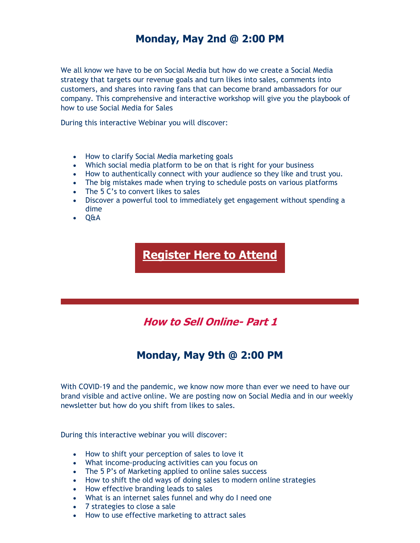## **Monday, May 2nd @ 2:00 PM**

We all know we have to be on Social Media but how do we create a Social Media strategy that targets our revenue goals and turn likes into sales, comments into customers, and shares into raving fans that can become brand ambassadors for our company. This comprehensive and interactive workshop will give you the playbook of how to use Social Media for Sales

During this interactive Webinar you will discover:

- How to clarify Social Media marketing goals
- Which social media platform to be on that is right for your business
- How to authentically connect with your audience so they like and trust you.
- The big mistakes made when trying to schedule posts on various platforms
- The 5 C's to convert likes to sales
- Discover a powerful tool to immediately get engagement without spending a dime
- Q&A

**[Register Here to Attend](https://nam12.safelinks.protection.outlook.com/?url=https%3A%2F%2Fr20.rs6.net%2Ftn.jsp%3Ff%3D001Lc3z220Xc5SY1uxoJGreN_o9ZBG3hKow-SJcqPrFi1c-aM-2_yu0WJ2ySrvUyr9XG6qNlgsg80iIrLDjSIuVqmyA0d_3GownNWeMWvLGqDLXSMBGTUh2u9n1tinNV1nEtSgaWi_bC64e9k8YJ13ODpg_Hb-EKxnUtlLXulujN1--JxdkRR3-tSzydEUSyOVXVXSmHBRSC6wVc_iOBk3JYz6ECnUHok39%26c%3DxzAWOmbUdBD0PpsxKOkx5hEepFFDE6lionxTbPuGpXj9uWXp3TUeZw%3D%3D%26ch%3Dwi5VErq6AEtAYlAiabIIKwrl2p4uFHZdrvBOJqEhMi4W0n7gJnuUoA%3D%3D&data=05%7C01%7C%7C5fbb1c90dec9473c264608da33da47f5%7C84df9e7fe9f640afb435aaaaaaaaaaaa%7C1%7C0%7C637879309865043761%7CUnknown%7CTWFpbGZsb3d8eyJWIjoiMC4wLjAwMDAiLCJQIjoiV2luMzIiLCJBTiI6Ik1haWwiLCJXVCI6Mn0%3D%7C3000%7C%7C%7C&sdata=ioiRPbQb7%2Fx3mgdFYyrMFdoewUW9ysdYiX1BprvPF1s%3D&reserved=0)**

**How to Sell Online- Part 1**

# **Monday, May 9th @ 2:00 PM**

With COVID-19 and the pandemic, we know now more than ever we need to have our brand visible and active online. We are posting now on Social Media and in our weekly newsletter but how do you shift from likes to sales.

During this interactive webinar you will discover:

- How to shift your perception of sales to love it
- What income-producing activities can you focus on
- The 5 P's of Marketing applied to online sales success
- How to shift the old ways of doing sales to modern online strategies
- How effective branding leads to sales
- What is an internet sales funnel and why do I need one
- 7 strategies to close a sale
- How to use effective marketing to attract sales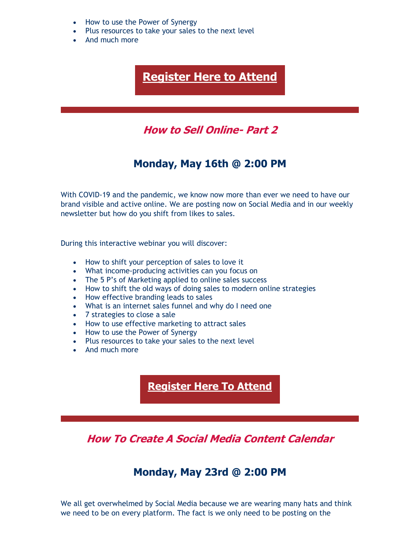- How to use the Power of Synergy
- Plus resources to take your sales to the next level
- And much more

**[Register Here to Attend](https://nam12.safelinks.protection.outlook.com/?url=https%3A%2F%2Fr20.rs6.net%2Ftn.jsp%3Ff%3D001Lc3z220Xc5SY1uxoJGreN_o9ZBG3hKow-SJcqPrFi1c-aM-2_yu0WJ2ySrvUyr9XcYnc1aVWKm7PD32s6hb_Kz5qHW-UukmTyeaPtL8In46flXZilDvqWMSt4OP-X2Gwgwxp3_AFbhd7bkP5thdnIGxNKHKR7E_pd2ZQrIinZQ4kMxomejJ9SVn5zl-T9r9w3vsbLK5nA7wjZ4UzILZz74lRA8lOdT0G%26c%3DxzAWOmbUdBD0PpsxKOkx5hEepFFDE6lionxTbPuGpXj9uWXp3TUeZw%3D%3D%26ch%3Dwi5VErq6AEtAYlAiabIIKwrl2p4uFHZdrvBOJqEhMi4W0n7gJnuUoA%3D%3D&data=05%7C01%7C%7C5fbb1c90dec9473c264608da33da47f5%7C84df9e7fe9f640afb435aaaaaaaaaaaa%7C1%7C0%7C637879309865043761%7CUnknown%7CTWFpbGZsb3d8eyJWIjoiMC4wLjAwMDAiLCJQIjoiV2luMzIiLCJBTiI6Ik1haWwiLCJXVCI6Mn0%3D%7C3000%7C%7C%7C&sdata=mRqsSMLfwmkllgeKjuNoBY0xIQhME2BXJMhWquQEn%2Fs%3D&reserved=0)**

## **How to Sell Online- Part 2**

#### **Monday, May 16th @ 2:00 PM**

With COVID-19 and the pandemic, we know now more than ever we need to have our brand visible and active online. We are posting now on Social Media and in our weekly newsletter but how do you shift from likes to sales.

During this interactive webinar you will discover:

- How to shift your perception of sales to love it
- What income-producing activities can you focus on
- The 5 P's of Marketing applied to online sales success
- How to shift the old ways of doing sales to modern online strategies
- How effective branding leads to sales
- What is an internet sales funnel and why do I need one
- 7 strategies to close a sale
- How to use effective marketing to attract sales
- How to use the Power of Synergy
- Plus resources to take your sales to the next level
- And much more

#### **[Register Here To Attend](https://nam12.safelinks.protection.outlook.com/?url=https%3A%2F%2Fr20.rs6.net%2Ftn.jsp%3Ff%3D001Lc3z220Xc5SY1uxoJGreN_o9ZBG3hKow-SJcqPrFi1c-aM-2_yu0WJ2ySrvUyr9XLpCYiO2bJ9LBvtbT9ykpFsDyZMDoET1Vbc0G05-5HW0TDDBt5TZgTVum5abv03p7qPfH8KkmPARxex46O5RjtTbsbXXa8Eb8NuFRRrfrRqWPGxsbFw2BtGrUAVdIDe5WbcrqJr3Omv1QWM0_YwI2a5grOkYMoIC4%26c%3DxzAWOmbUdBD0PpsxKOkx5hEepFFDE6lionxTbPuGpXj9uWXp3TUeZw%3D%3D%26ch%3Dwi5VErq6AEtAYlAiabIIKwrl2p4uFHZdrvBOJqEhMi4W0n7gJnuUoA%3D%3D&data=05%7C01%7C%7C5fbb1c90dec9473c264608da33da47f5%7C84df9e7fe9f640afb435aaaaaaaaaaaa%7C1%7C0%7C637879309865043761%7CUnknown%7CTWFpbGZsb3d8eyJWIjoiMC4wLjAwMDAiLCJQIjoiV2luMzIiLCJBTiI6Ik1haWwiLCJXVCI6Mn0%3D%7C3000%7C%7C%7C&sdata=L2Ng1oED%2FbV8WFeHWmBGtr4LxO0SZYlZWSHPVNO7h8E%3D&reserved=0)**

**How To Create A Social Media Content Calendar**

### **Monday, May 23rd @ 2:00 PM**

We all get overwhelmed by Social Media because we are wearing many hats and think we need to be on every platform. The fact is we only need to be posting on the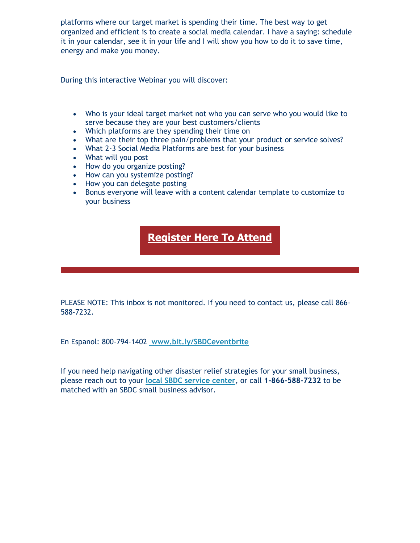platforms where our target market is spending their time. The best way to get organized and efficient is to create a social media calendar. I have a saying: schedule it in your calendar, see it in your life and I will show you how to do it to save time, energy and make you money.

During this interactive Webinar you will discover:

- Who is your ideal target market not who you can serve who you would like to serve because they are your best customers/clients
- Which platforms are they spending their time on
- What are their top three pain/problems that your product or service solves?
- What 2-3 Social Media Platforms are best for your business
- What will you post
- How do you organize posting?
- How can you systemize posting?
- How you can delegate posting
- Bonus everyone will leave with a content calendar template to customize to your business

## **[Register Here To Attend](https://nam12.safelinks.protection.outlook.com/?url=https%3A%2F%2Fr20.rs6.net%2Ftn.jsp%3Ff%3D001Lc3z220Xc5SY1uxoJGreN_o9ZBG3hKow-SJcqPrFi1c-aM-2_yu0WJ2ySrvUyr9X_CMz96A8SAHnkiPXNkNMzr6_pAZPRyGaXzddtHBTR5y9edsKyrEdrQJ4BAZHfOy0pnnV8VTnyfWeNd54NhAsB0obGjiz_1-utyPxcSZ2i9YCVoYej-klOer56gNlcRLyeBGBeBgVdaZzW2aZfvFQBzLFl05l9z27%26c%3DxzAWOmbUdBD0PpsxKOkx5hEepFFDE6lionxTbPuGpXj9uWXp3TUeZw%3D%3D%26ch%3Dwi5VErq6AEtAYlAiabIIKwrl2p4uFHZdrvBOJqEhMi4W0n7gJnuUoA%3D%3D&data=05%7C01%7C%7C5fbb1c90dec9473c264608da33da47f5%7C84df9e7fe9f640afb435aaaaaaaaaaaa%7C1%7C0%7C637879309865043761%7CUnknown%7CTWFpbGZsb3d8eyJWIjoiMC4wLjAwMDAiLCJQIjoiV2luMzIiLCJBTiI6Ik1haWwiLCJXVCI6Mn0%3D%7C3000%7C%7C%7C&sdata=cxI4AyqQOL%2B4%2FCC4hKtnQbsxL4KzLhbzfYdvRBTsmXc%3D&reserved=0)**

PLEASE NOTE: This inbox is not monitored. If you need to contact us, please call 866- 588-7232.

En Espanol: 800-794-1402 **[www.bit.ly/SBDCeventbrite](https://nam12.safelinks.protection.outlook.com/?url=https%3A%2F%2Fr20.rs6.net%2Ftn.jsp%3Ff%3D001Lc3z220Xc5SY1uxoJGreN_o9ZBG3hKow-SJcqPrFi1c-aM-2_yu0WIUheLZ0hu6aLbwj4AydX8C0ybP0OrLy7Tvaajfli8A9tY_ePkQApE9ODDtR0aR7KEg-qjGthDiYEE_HG5KsU1aK0lRH73jVnmxP-BT2hZl2%26c%3DxzAWOmbUdBD0PpsxKOkx5hEepFFDE6lionxTbPuGpXj9uWXp3TUeZw%3D%3D%26ch%3Dwi5VErq6AEtAYlAiabIIKwrl2p4uFHZdrvBOJqEhMi4W0n7gJnuUoA%3D%3D&data=05%7C01%7C%7C5fbb1c90dec9473c264608da33da47f5%7C84df9e7fe9f640afb435aaaaaaaaaaaa%7C1%7C0%7C637879309865043761%7CUnknown%7CTWFpbGZsb3d8eyJWIjoiMC4wLjAwMDAiLCJQIjoiV2luMzIiLCJBTiI6Ik1haWwiLCJXVCI6Mn0%3D%7C3000%7C%7C%7C&sdata=W7wOJLmuw%2FtiXhBroEMsWMH7xAyL%2FGLGBsIJLd%2BCqfQ%3D&reserved=0)**

If you need help navigating other disaster relief strategies for your small business, please reach out to your **[local SBDC service center](https://nam12.safelinks.protection.outlook.com/?url=https%3A%2F%2Fr20.rs6.net%2Ftn.jsp%3Ff%3D001Lc3z220Xc5SY1uxoJGreN_o9ZBG3hKow-SJcqPrFi1c-aM-2_yu0WLt-5dMkL3N9S9nhx4O5aWWmnFCKjiqmoAKhoItsHLoPIoxvJGugbLrh5Q6ZIk5Yv6CYqKCpEe-DxYINPD3_xW3W8tLlzxzVyRSG5cch_fqo%26c%3DxzAWOmbUdBD0PpsxKOkx5hEepFFDE6lionxTbPuGpXj9uWXp3TUeZw%3D%3D%26ch%3Dwi5VErq6AEtAYlAiabIIKwrl2p4uFHZdrvBOJqEhMi4W0n7gJnuUoA%3D%3D&data=05%7C01%7C%7C5fbb1c90dec9473c264608da33da47f5%7C84df9e7fe9f640afb435aaaaaaaaaaaa%7C1%7C0%7C637879309865043761%7CUnknown%7CTWFpbGZsb3d8eyJWIjoiMC4wLjAwMDAiLCJQIjoiV2luMzIiLCJBTiI6Ik1haWwiLCJXVCI6Mn0%3D%7C3000%7C%7C%7C&sdata=5hTieNFf3n8SQNut0ssn4cs3axUiqgZWZ3qHfTekyxo%3D&reserved=0)**, or call **1-866-588-7232** to be matched with an SBDC small business advisor.